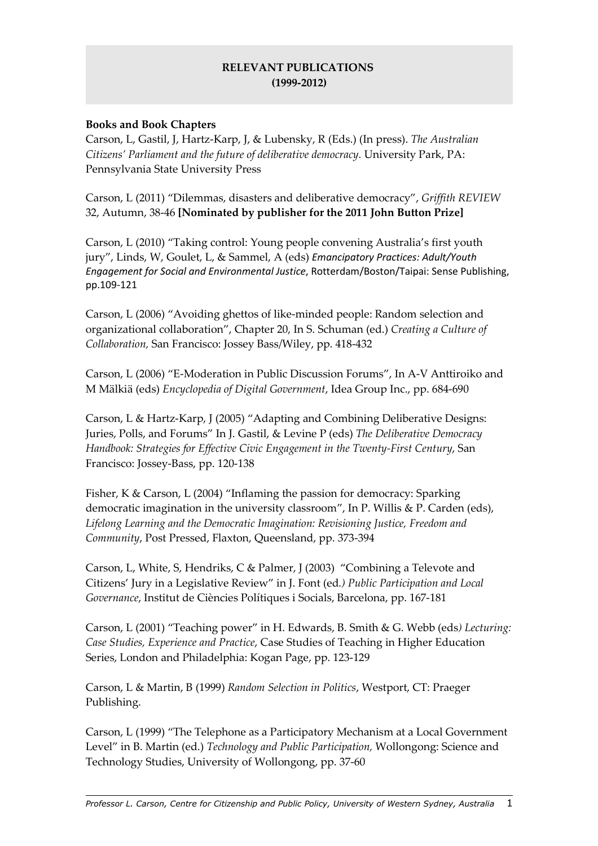## RELEVANT PUBLICATIONS (1999-2012)

#### Books and Book Chapters

Carson, L, Gastil, J, Hartz-Karp, J, & Lubensky, R (Eds.) (In press). The Australian Citizens' Parliament and the future of deliberative democracy. University Park, PA: Pennsylvania State University Press

Carson, L (2011) "Dilemmas, disasters and deliberative democracy", Griffith REVIEW 32, Autumn, 38-46 [Nominated by publisher for the 2011 John Button Prize]

Carson, L (2010) "Taking control: Young people convening Australia's first youth jury", Linds, W, Goulet, L, & Sammel, A (eds) Emancipatory Practices: Adult/Youth Engagement for Social and Environmental Justice, Rotterdam/Boston/Taipai: Sense Publishing, pp.109-121

Carson, L (2006) "Avoiding ghettos of like-minded people: Random selection and organizational collaboration", Chapter 20, In S. Schuman (ed.) Creating a Culture of Collaboration, San Francisco: Jossey Bass/Wiley, pp. 418-432

Carson, L (2006) "E-Moderation in Public Discussion Forums", In A-V Anttiroiko and M Mälkiä (eds) Encyclopedia of Digital Government, Idea Group Inc., pp. 684-690

Carson, L & Hartz-Karp, J (2005) "Adapting and Combining Deliberative Designs: Juries, Polls, and Forums" In J. Gastil, & Levine P (eds) The Deliberative Democracy Handbook: Strategies for Effective Civic Engagement in the Twenty-First Century, San Francisco: Jossey-Bass, pp. 120-138

Fisher, K & Carson, L (2004) "Inflaming the passion for democracy: Sparking democratic imagination in the university classroom", In P. Willis & P. Carden (eds), Lifelong Learning and the Democratic Imagination: Revisioning Justice, Freedom and Community, Post Pressed, Flaxton, Queensland, pp. 373-394

Carson, L, White, S, Hendriks, C & Palmer, J (2003) "Combining a Televote and Citizens' Jury in a Legislative Review" in J. Font (ed.) Public Participation and Local Governance, Institut de Ciències Polítiques i Socials, Barcelona, pp. 167-181

Carson, L (2001) "Teaching power" in H. Edwards, B. Smith & G. Webb (eds) Lecturing: Case Studies, Experience and Practice, Case Studies of Teaching in Higher Education Series, London and Philadelphia: Kogan Page, pp. 123-129

Carson, L & Martin, B (1999) Random Selection in Politics, Westport, CT: Praeger Publishing.

Carson, L (1999) "The Telephone as a Participatory Mechanism at a Local Government Level" in B. Martin (ed.) Technology and Public Participation, Wollongong: Science and Technology Studies, University of Wollongong, pp. 37-60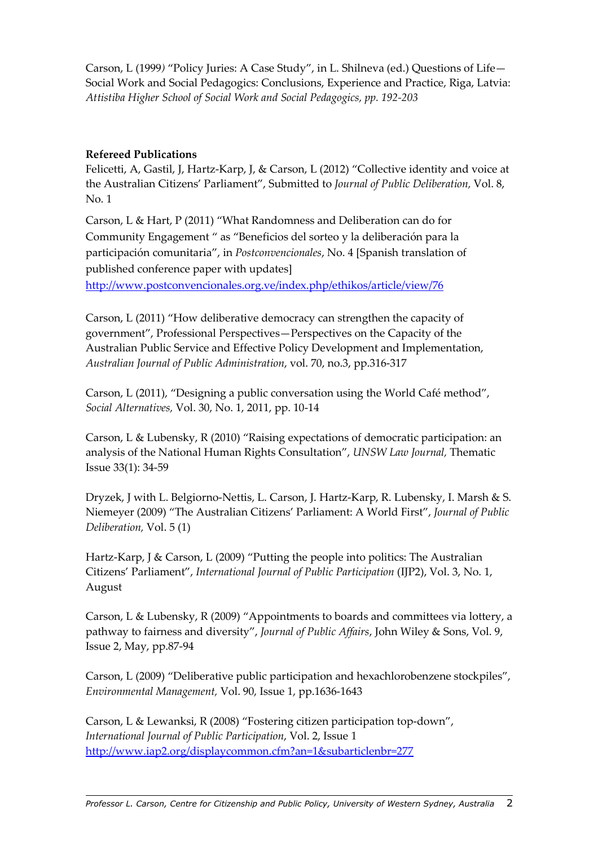Carson, L (1999) "Policy Juries: A Case Study", in L. Shilneva (ed.) Questions of Life— Social Work and Social Pedagogics: Conclusions, Experience and Practice, Riga, Latvia: Attistiba Higher School of Social Work and Social Pedagogics, pp. 192-203

#### Refereed Publications

Felicetti, A, Gastil, J, Hartz-Karp, J, & Carson, L (2012) "Collective identity and voice at the Australian Citizens' Parliament", Submitted to Journal of Public Deliberation, Vol. 8, No. 1

Carson, L & Hart, P (2011) "What Randomness and Deliberation can do for Community Engagement " as "Beneficios del sorteo y la deliberación para la participación comunitaria", in Postconvencionales, No. 4 [Spanish translation of published conference paper with updates]

http://www.postconvencionales.org.ve/index.php/ethikos/article/view/76

Carson, L (2011) "How deliberative democracy can strengthen the capacity of government", Professional Perspectives—Perspectives on the Capacity of the Australian Public Service and Effective Policy Development and Implementation, Australian Journal of Public Administration, vol. 70, no.3, pp.316-317

Carson, L (2011), "Designing a public conversation using the World Café method", Social Alternatives, Vol. 30, No. 1, 2011, pp. 10-14

Carson, L & Lubensky, R (2010) "Raising expectations of democratic participation: an analysis of the National Human Rights Consultation", UNSW Law Journal, Thematic Issue 33(1): 34-59

Dryzek, J with L. Belgiorno-Nettis, L. Carson, J. Hartz-Karp, R. Lubensky, I. Marsh & S. Niemeyer (2009) "The Australian Citizens' Parliament: A World First", Journal of Public Deliberation, Vol. 5 (1)

Hartz-Karp, J & Carson, L (2009) "Putting the people into politics: The Australian Citizens' Parliament", International Journal of Public Participation (IJP2), Vol. 3, No. 1, August

Carson, L & Lubensky, R (2009) "Appointments to boards and committees via lottery, a pathway to fairness and diversity", Journal of Public Affairs, John Wiley & Sons, Vol. 9, Issue 2, May, pp.87-94

Carson, L (2009) "Deliberative public participation and hexachlorobenzene stockpiles", Environmental Management, Vol. 90, Issue 1, pp.1636-1643

Carson, L & Lewanksi, R (2008) "Fostering citizen participation top-down", International Journal of Public Participation, Vol. 2, Issue 1 http://www.iap2.org/displaycommon.cfm?an=1&subarticlenbr=277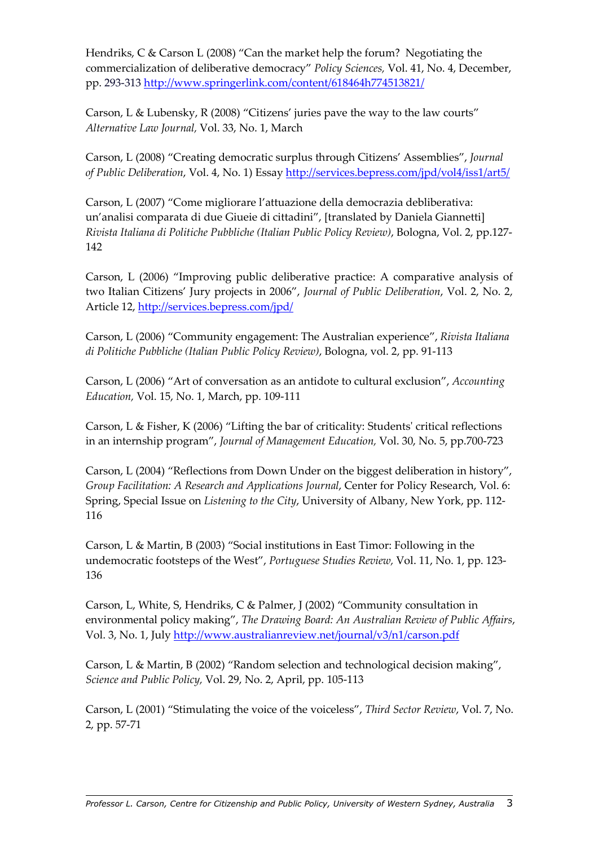Hendriks, C & Carson L (2008) "Can the market help the forum? Negotiating the commercialization of deliberative democracy" Policy Sciences, Vol. 41, No. 4, December, pp. 293-313 http://www.springerlink.com/content/618464h774513821/

Carson, L & Lubensky, R (2008) "Citizens' juries pave the way to the law courts" Alternative Law Journal, Vol. 33, No. 1, March

Carson, L (2008) "Creating democratic surplus through Citizens' Assemblies", Journal of Public Deliberation, Vol. 4, No. 1) Essay http://services.bepress.com/jpd/vol4/iss1/art5/

Carson, L (2007) "Come migliorare l'attuazione della democrazia debliberativa: un'analisi comparata di due Giueie di cittadini", [translated by Daniela Giannetti] Rivista Italiana di Politiche Pubbliche (Italian Public Policy Review), Bologna, Vol. 2, pp.127- 142

Carson, L (2006) "Improving public deliberative practice: A comparative analysis of two Italian Citizens' Jury projects in 2006", Journal of Public Deliberation, Vol. 2, No. 2, Article 12, http://services.bepress.com/jpd/

Carson, L (2006) "Community engagement: The Australian experience", Rivista Italiana di Politiche Pubbliche (Italian Public Policy Review), Bologna, vol. 2, pp. 91-113

Carson, L (2006) "Art of conversation as an antidote to cultural exclusion", Accounting Education, Vol. 15, No. 1, March, pp. 109-111

Carson, L & Fisher, K (2006) "Lifting the bar of criticality: Students' critical reflections in an internship program", Journal of Management Education, Vol. 30, No. 5, pp.700-723

Carson, L (2004) "Reflections from Down Under on the biggest deliberation in history", Group Facilitation: A Research and Applications Journal, Center for Policy Research, Vol. 6: Spring, Special Issue on Listening to the City, University of Albany, New York, pp. 112- 116

Carson, L & Martin, B (2003) "Social institutions in East Timor: Following in the undemocratic footsteps of the West", Portuguese Studies Review, Vol. 11, No. 1, pp. 123-136

Carson, L, White, S, Hendriks, C & Palmer, J (2002) "Community consultation in environmental policy making", The Drawing Board: An Australian Review of Public Affairs, Vol. 3, No. 1, July http://www.australianreview.net/journal/v3/n1/carson.pdf

Carson, L & Martin, B (2002) "Random selection and technological decision making", Science and Public Policy, Vol. 29, No. 2, April, pp. 105-113

Carson, L (2001) "Stimulating the voice of the voiceless", Third Sector Review, Vol. 7, No. 2, pp. 57-71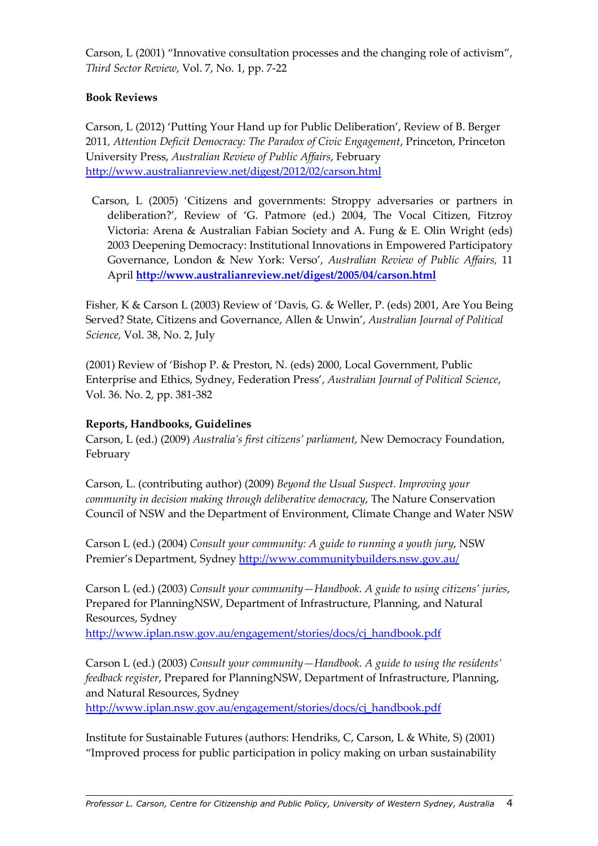Carson, L (2001) "Innovative consultation processes and the changing role of activism", Third Sector Review, Vol. 7, No. 1, pp. 7-22

### Book Reviews

Carson, L (2012) 'Putting Your Hand up for Public Deliberation', Review of B. Berger 2011, Attention Deficit Democracy: The Paradox of Civic Engagement, Princeton, Princeton University Press, Australian Review of Public Affairs, February http://www.australianreview.net/digest/2012/02/carson.html

 Carson, L (2005) 'Citizens and governments: Stroppy adversaries or partners in deliberation?', Review of 'G. Patmore (ed.) 2004, The Vocal Citizen, Fitzroy Victoria: Arena & Australian Fabian Society and A. Fung & E. Olin Wright (eds) 2003 Deepening Democracy: Institutional Innovations in Empowered Participatory Governance, London & New York: Verso', Australian Review of Public Affairs, 11 April http://www.australianreview.net/digest/2005/04/carson.html

Fisher, K & Carson L (2003) Review of 'Davis, G. & Weller, P. (eds) 2001, Are You Being Served? State, Citizens and Governance, Allen & Unwin', Australian Journal of Political Science, Vol. 38, No. 2, July

(2001) Review of 'Bishop P. & Preston, N. (eds) 2000, Local Government, Public Enterprise and Ethics, Sydney, Federation Press', Australian Journal of Political Science, Vol. 36. No. 2, pp. 381-382

#### Reports, Handbooks, Guidelines

Carson, L (ed.) (2009) Australia's first citizens' parliament, New Democracy Foundation, February

Carson, L. (contributing author) (2009) Beyond the Usual Suspect. Improving your community in decision making through deliberative democracy, The Nature Conservation Council of NSW and the Department of Environment, Climate Change and Water NSW

Carson L (ed.) (2004) Consult your community: A guide to running a youth jury, NSW Premier's Department, Sydney http://www.communitybuilders.nsw.gov.au/

Carson L (ed.) (2003) Consult your community—Handbook. A guide to using citizens' juries, Prepared for PlanningNSW, Department of Infrastructure, Planning, and Natural Resources, Sydney

http://www.iplan.nsw.gov.au/engagement/stories/docs/cj\_handbook.pdf

Carson L (ed.) (2003) Consult your community—Handbook. A guide to using the residents' feedback register, Prepared for PlanningNSW, Department of Infrastructure, Planning, and Natural Resources, Sydney

http://www.iplan.nsw.gov.au/engagement/stories/docs/cj\_handbook.pdf

Institute for Sustainable Futures (authors: Hendriks, C, Carson, L & White, S) (2001) "Improved process for public participation in policy making on urban sustainability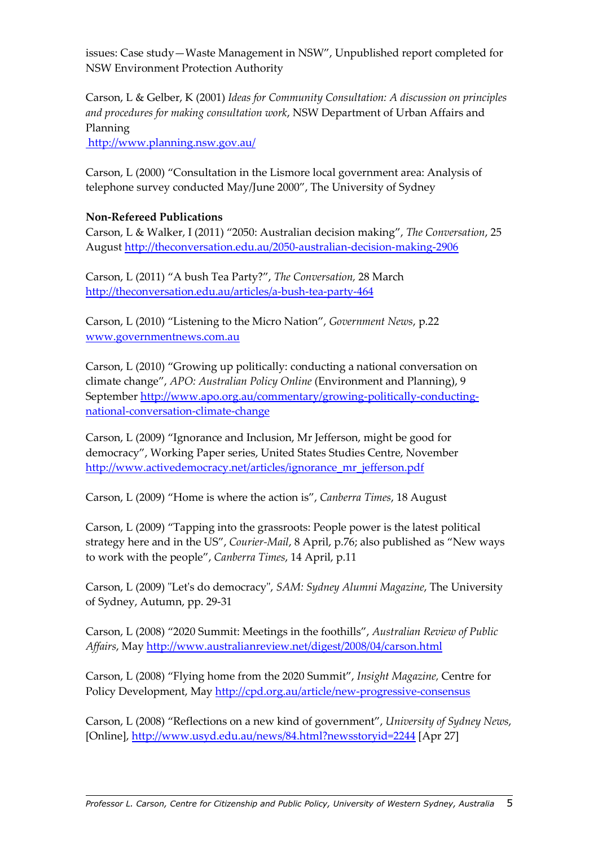issues: Case study—Waste Management in NSW", Unpublished report completed for NSW Environment Protection Authority

Carson, L & Gelber, K (2001) Ideas for Community Consultation: A discussion on principles and procedures for making consultation work, NSW Department of Urban Affairs and Planning

http://www.planning.nsw.gov.au/

Carson, L (2000) "Consultation in the Lismore local government area: Analysis of telephone survey conducted May/June 2000", The University of Sydney

## Non-Refereed Publications

Carson, L & Walker, I (2011) "2050: Australian decision making", The Conversation, 25 August http://theconversation.edu.au/2050-australian-decision-making-2906

Carson, L (2011) "A bush Tea Party?", The Conversation, 28 March http://theconversation.edu.au/articles/a-bush-tea-party-464

Carson, L (2010) "Listening to the Micro Nation", Government News, p.22 www.governmentnews.com.au

Carson, L (2010) "Growing up politically: conducting a national conversation on climate change", APO: Australian Policy Online (Environment and Planning), 9 September http://www.apo.org.au/commentary/growing-politically-conductingnational-conversation-climate-change

Carson, L (2009) "Ignorance and Inclusion, Mr Jefferson, might be good for democracy", Working Paper series, United States Studies Centre, November http://www.activedemocracy.net/articles/ignorance\_mr\_jefferson.pdf

Carson, L (2009) "Home is where the action is", Canberra Times, 18 August

Carson, L (2009) "Tapping into the grassroots: People power is the latest political strategy here and in the US", Courier-Mail, 8 April, p.76; also published as "New ways to work with the people", Canberra Times, 14 April, p.11

Carson, L (2009) "Let's do democracy", SAM: Sydney Alumni Magazine, The University of Sydney, Autumn, pp. 29-31

Carson, L (2008) "2020 Summit: Meetings in the foothills", Australian Review of Public Affairs, May http://www.australianreview.net/digest/2008/04/carson.html

Carson, L (2008) "Flying home from the 2020 Summit", Insight Magazine, Centre for Policy Development, May http://cpd.org.au/article/new-progressive-consensus

Carson, L (2008) "Reflections on a new kind of government", University of Sydney News, [Online], http://www.usyd.edu.au/news/84.html?newsstoryid=2244 [Apr 27]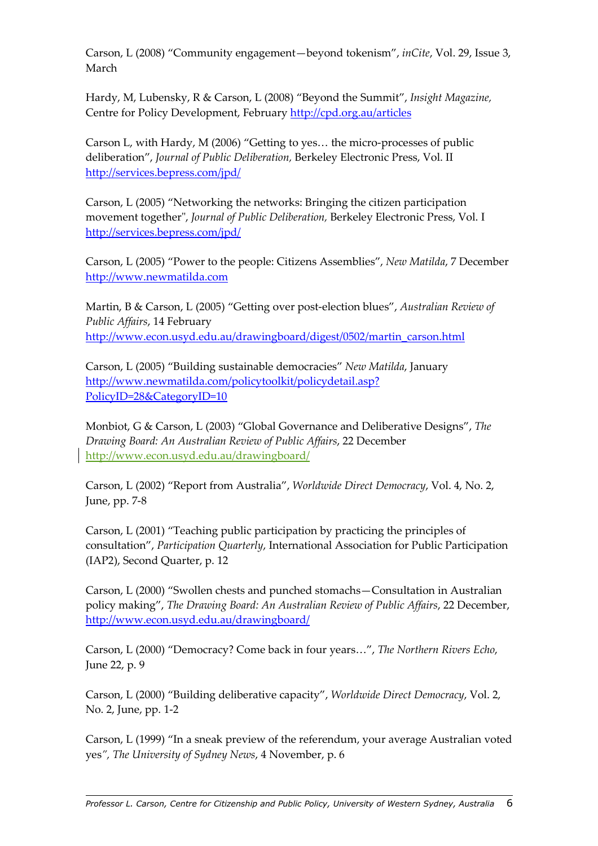Carson, L (2008) "Community engagement—beyond tokenism", inCite, Vol. 29, Issue 3, March

Hardy, M, Lubensky, R & Carson, L (2008) "Beyond the Summit", Insight Magazine, Centre for Policy Development, February http://cpd.org.au/articles

Carson L, with Hardy, M (2006) "Getting to yes… the micro-processes of public deliberation", Journal of Public Deliberation, Berkeley Electronic Press, Vol. II http://services.bepress.com/jpd/

Carson, L (2005) "Networking the networks: Bringing the citizen participation movement together", Journal of Public Deliberation, Berkeley Electronic Press, Vol. I http://services.bepress.com/jpd/

Carson, L (2005) "Power to the people: Citizens Assemblies", New Matilda, 7 December http://www.newmatilda.com

Martin, B & Carson, L (2005) "Getting over post-election blues", Australian Review of Public Affairs, 14 February http://www.econ.usyd.edu.au/drawingboard/digest/0502/martin\_carson.html

Carson, L (2005) "Building sustainable democracies" New Matilda, January http://www.newmatilda.com/policytoolkit/policydetail.asp? PolicyID=28&CategoryID=10

Monbiot, G & Carson, L (2003) "Global Governance and Deliberative Designs", The Drawing Board: An Australian Review of Public Affairs, 22 December http://www.econ.usyd.edu.au/drawingboard/

Carson, L (2002) "Report from Australia", Worldwide Direct Democracy, Vol. 4, No. 2, June, pp. 7-8

Carson, L (2001) "Teaching public participation by practicing the principles of consultation", Participation Quarterly, International Association for Public Participation (IAP2), Second Quarter, p. 12

Carson, L (2000) "Swollen chests and punched stomachs—Consultation in Australian policy making", The Drawing Board: An Australian Review of Public Affairs, 22 December, http://www.econ.usyd.edu.au/drawingboard/

Carson, L (2000) "Democracy? Come back in four years…", The Northern Rivers Echo, June 22, p. 9

Carson, L (2000) "Building deliberative capacity", Worldwide Direct Democracy, Vol. 2, No. 2, June, pp. 1-2

Carson, L (1999) "In a sneak preview of the referendum, your average Australian voted yes", The University of Sydney News, 4 November, p. 6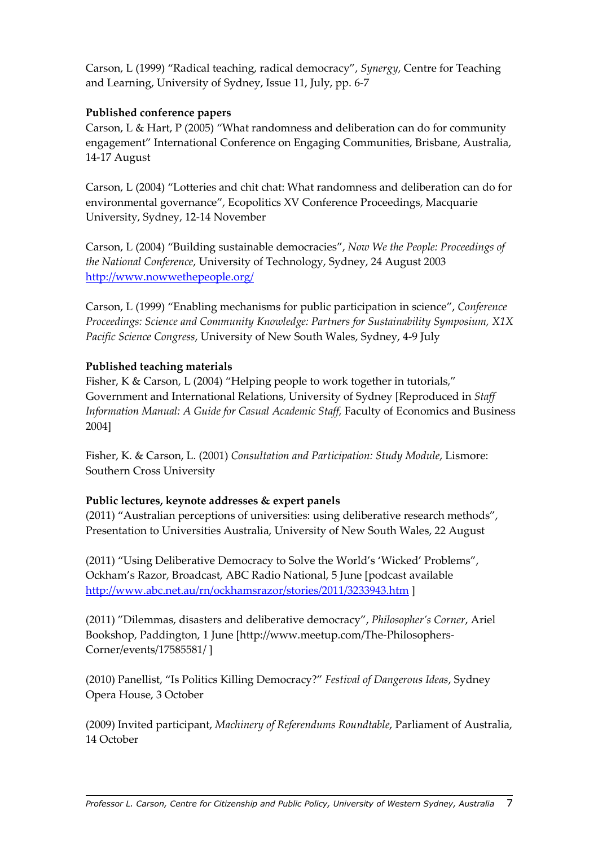Carson, L (1999) "Radical teaching, radical democracy", Synergy, Centre for Teaching and Learning, University of Sydney, Issue 11, July, pp. 6-7

## Published conference papers

Carson, L & Hart, P (2005) "What randomness and deliberation can do for community engagement" International Conference on Engaging Communities, Brisbane, Australia, 14-17 August

Carson, L (2004) "Lotteries and chit chat: What randomness and deliberation can do for environmental governance", Ecopolitics XV Conference Proceedings, Macquarie University, Sydney, 12-14 November

Carson, L (2004) "Building sustainable democracies", Now We the People: Proceedings of the National Conference, University of Technology, Sydney, 24 August 2003 http://www.nowwethepeople.org/

Carson, L (1999) "Enabling mechanisms for public participation in science", Conference Proceedings: Science and Community Knowledge: Partners for Sustainability Symposium, X1X Pacific Science Congress, University of New South Wales, Sydney, 4-9 July

## Published teaching materials

Fisher, K & Carson, L (2004) "Helping people to work together in tutorials," Government and International Relations, University of Sydney [Reproduced in Staff Information Manual: A Guide for Casual Academic Staff, Faculty of Economics and Business 2004]

Fisher, K. & Carson, L. (2001) Consultation and Participation: Study Module, Lismore: Southern Cross University

# Public lectures, keynote addresses & expert panels

(2011) "Australian perceptions of universities: using deliberative research methods", Presentation to Universities Australia, University of New South Wales, 22 August

(2011) "Using Deliberative Democracy to Solve the World's 'Wicked' Problems", Ockham's Razor, Broadcast, ABC Radio National, 5 June [podcast available http://www.abc.net.au/rn/ockhamsrazor/stories/2011/3233943.htm ]

(2011) "Dilemmas, disasters and deliberative democracy", Philosopher's Corner, Ariel Bookshop, Paddington, 1 June [http://www.meetup.com/The-Philosophers-Corner/events/17585581/ ]

(2010) Panellist, "Is Politics Killing Democracy?" Festival of Dangerous Ideas, Sydney Opera House, 3 October

(2009) Invited participant, Machinery of Referendums Roundtable, Parliament of Australia, 14 October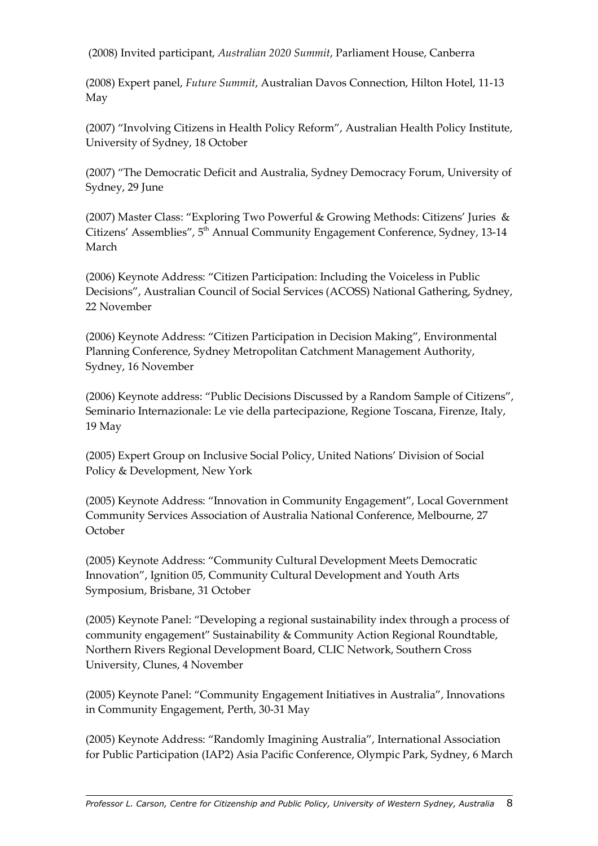(2008) Invited participant, Australian 2020 Summit, Parliament House, Canberra

(2008) Expert panel, Future Summit, Australian Davos Connection, Hilton Hotel, 11-13 May

(2007) "Involving Citizens in Health Policy Reform", Australian Health Policy Institute, University of Sydney, 18 October

(2007) "The Democratic Deficit and Australia, Sydney Democracy Forum, University of Sydney, 29 June

(2007) Master Class: "Exploring Two Powerful & Growing Methods: Citizens' Juries & Citizens' Assemblies", 5<sup>th</sup> Annual Community Engagement Conference, Sydney, 13-14 March

(2006) Keynote Address: "Citizen Participation: Including the Voiceless in Public Decisions", Australian Council of Social Services (ACOSS) National Gathering, Sydney, 22 November

(2006) Keynote Address: "Citizen Participation in Decision Making", Environmental Planning Conference, Sydney Metropolitan Catchment Management Authority, Sydney, 16 November

(2006) Keynote address: "Public Decisions Discussed by a Random Sample of Citizens", Seminario Internazionale: Le vie della partecipazione, Regione Toscana, Firenze, Italy, 19 May

(2005) Expert Group on Inclusive Social Policy, United Nations' Division of Social Policy & Development, New York

(2005) Keynote Address: "Innovation in Community Engagement", Local Government Community Services Association of Australia National Conference, Melbourne, 27 October

(2005) Keynote Address: "Community Cultural Development Meets Democratic Innovation", Ignition 05, Community Cultural Development and Youth Arts Symposium, Brisbane, 31 October

(2005) Keynote Panel: "Developing a regional sustainability index through a process of community engagement" Sustainability & Community Action Regional Roundtable, Northern Rivers Regional Development Board, CLIC Network, Southern Cross University, Clunes, 4 November

(2005) Keynote Panel: "Community Engagement Initiatives in Australia", Innovations in Community Engagement, Perth, 30-31 May

(2005) Keynote Address: "Randomly Imagining Australia", International Association for Public Participation (IAP2) Asia Pacific Conference, Olympic Park, Sydney, 6 March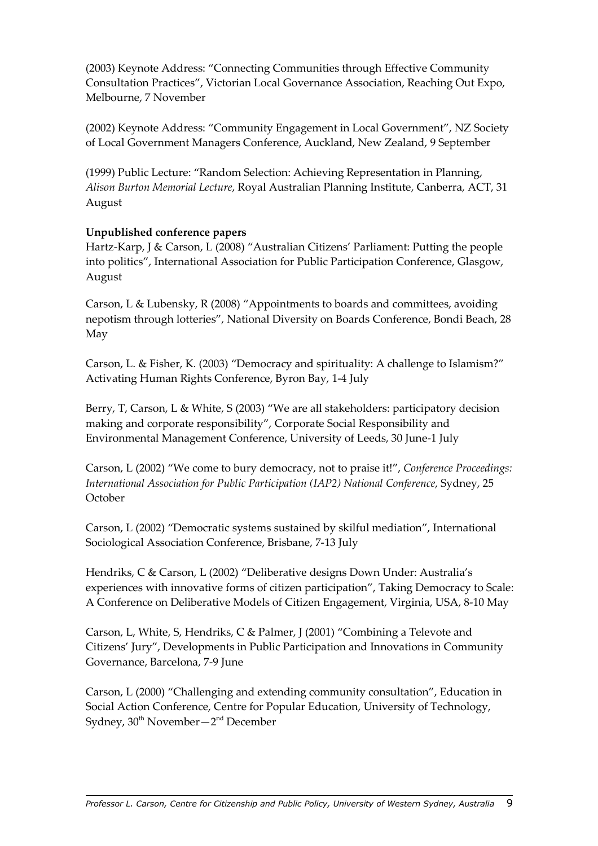(2003) Keynote Address: "Connecting Communities through Effective Community Consultation Practices", Victorian Local Governance Association, Reaching Out Expo, Melbourne, 7 November

(2002) Keynote Address: "Community Engagement in Local Government", NZ Society of Local Government Managers Conference, Auckland, New Zealand, 9 September

(1999) Public Lecture: "Random Selection: Achieving Representation in Planning, Alison Burton Memorial Lecture, Royal Australian Planning Institute, Canberra, ACT, 31 August

## Unpublished conference papers

Hartz-Karp, J & Carson, L (2008) "Australian Citizens' Parliament: Putting the people into politics", International Association for Public Participation Conference, Glasgow, August

Carson, L & Lubensky, R (2008) "Appointments to boards and committees, avoiding nepotism through lotteries", National Diversity on Boards Conference, Bondi Beach, 28 May

Carson, L. & Fisher, K. (2003) "Democracy and spirituality: A challenge to Islamism?" Activating Human Rights Conference, Byron Bay, 1-4 July

Berry, T, Carson, L & White, S (2003) "We are all stakeholders: participatory decision making and corporate responsibility", Corporate Social Responsibility and Environmental Management Conference, University of Leeds, 30 June-1 July

Carson, L (2002) "We come to bury democracy, not to praise it!", Conference Proceedings: International Association for Public Participation (IAP2) National Conference, Sydney, 25 October

Carson, L (2002) "Democratic systems sustained by skilful mediation", International Sociological Association Conference, Brisbane, 7-13 July

Hendriks, C & Carson, L (2002) "Deliberative designs Down Under: Australia's experiences with innovative forms of citizen participation", Taking Democracy to Scale: A Conference on Deliberative Models of Citizen Engagement, Virginia, USA, 8-10 May

Carson, L, White, S, Hendriks, C & Palmer, J (2001) "Combining a Televote and Citizens' Jury", Developments in Public Participation and Innovations in Community Governance, Barcelona, 7-9 June

Carson, L (2000) "Challenging and extending community consultation", Education in Social Action Conference, Centre for Popular Education, University of Technology, Sydney,  $30<sup>th</sup>$  November -  $2<sup>nd</sup>$  December